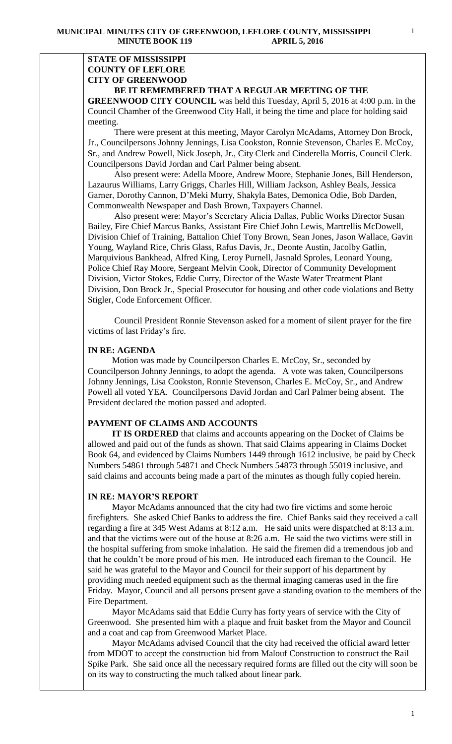### **STATE OF MISSISSIPPI COUNTY OF LEFLORE CITY OF GREENWOOD BE IT REMEMBERED THAT A REGULAR MEETING OF THE**

**GREENWOOD CITY COUNCIL** was held this Tuesday, April 5, 2016 at 4:00 p.m. in the Council Chamber of the Greenwood City Hall, it being the time and place for holding said meeting.

There were present at this meeting, Mayor Carolyn McAdams, Attorney Don Brock, Jr., Councilpersons Johnny Jennings, Lisa Cookston, Ronnie Stevenson, Charles E. McCoy, Sr., and Andrew Powell, Nick Joseph, Jr., City Clerk and Cinderella Morris, Council Clerk. Councilpersons David Jordan and Carl Palmer being absent.

 Also present were: Adella Moore, Andrew Moore, Stephanie Jones, Bill Henderson, Lazaurus Williams, Larry Griggs, Charles Hill, William Jackson, Ashley Beals, Jessica Garner, Dorothy Cannon, D'Meki Murry, Shakyla Bates, Demonica Odie, Bob Darden, Commonwealth Newspaper and Dash Brown, Taxpayers Channel.

 Also present were: Mayor's Secretary Alicia Dallas, Public Works Director Susan Bailey, Fire Chief Marcus Banks, Assistant Fire Chief John Lewis, Martrellis McDowell, Division Chief of Training, Battalion Chief Tony Brown, Sean Jones, Jason Wallace, Gavin Young, Wayland Rice, Chris Glass, Rafus Davis, Jr., Deonte Austin, Jacolby Gatlin, Marquivious Bankhead, Alfred King, Leroy Purnell, Jasnald Sproles, Leonard Young, Police Chief Ray Moore, Sergeant Melvin Cook, Director of Community Development Division, Victor Stokes, Eddie Curry, Director of the Waste Water Treatment Plant Division, Don Brock Jr., Special Prosecutor for housing and other code violations and Betty Stigler, Code Enforcement Officer.

 Council President Ronnie Stevenson asked for a moment of silent prayer for the fire victims of last Friday's fire.

#### **IN RE: AGENDA**

 Motion was made by Councilperson Charles E. McCoy, Sr., seconded by Councilperson Johnny Jennings, to adopt the agenda. A vote was taken, Councilpersons Johnny Jennings, Lisa Cookston, Ronnie Stevenson, Charles E. McCoy, Sr., and Andrew Powell all voted YEA. Councilpersons David Jordan and Carl Palmer being absent. The President declared the motion passed and adopted.

#### **PAYMENT OF CLAIMS AND ACCOUNTS**

 **IT IS ORDERED** that claims and accounts appearing on the Docket of Claims be allowed and paid out of the funds as shown. That said Claims appearing in Claims Docket Book 64, and evidenced by Claims Numbers 1449 through 1612 inclusive, be paid by Check Numbers 54861 through 54871 and Check Numbers 54873 through 55019 inclusive, and said claims and accounts being made a part of the minutes as though fully copied herein.

#### **IN RE: MAYOR'S REPORT**

 Mayor McAdams announced that the city had two fire victims and some heroic firefighters. She asked Chief Banks to address the fire. Chief Banks said they received a call regarding a fire at 345 West Adams at 8:12 a.m. He said units were dispatched at 8:13 a.m. and that the victims were out of the house at 8:26 a.m. He said the two victims were still in the hospital suffering from smoke inhalation. He said the firemen did a tremendous job and that he couldn't be more proud of his men. He introduced each fireman to the Council. He said he was grateful to the Mayor and Council for their support of his department by providing much needed equipment such as the thermal imaging cameras used in the fire Friday. Mayor, Council and all persons present gave a standing ovation to the members of the Fire Department.

 Mayor McAdams said that Eddie Curry has forty years of service with the City of Greenwood. She presented him with a plaque and fruit basket from the Mayor and Council and a coat and cap from Greenwood Market Place.

 Mayor McAdams advised Council that the city had received the official award letter from MDOT to accept the construction bid from Malouf Construction to construct the Rail Spike Park. She said once all the necessary required forms are filled out the city will soon be on its way to constructing the much talked about linear park.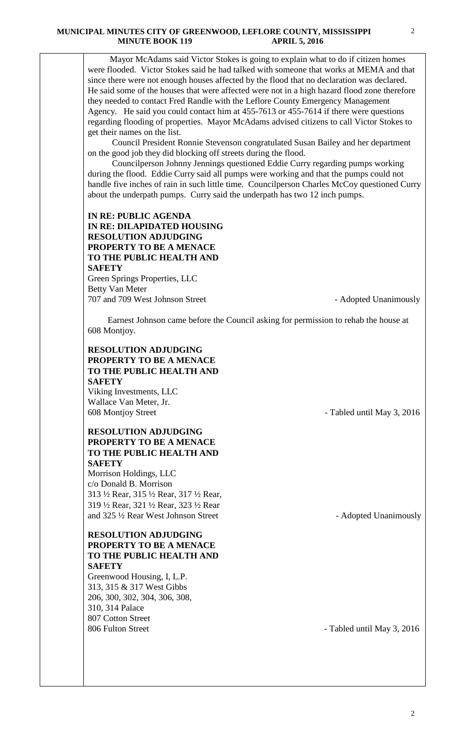Mayor McAdams said Victor Stokes is going to explain what to do if citizen homes were flooded. Victor Stokes said he had talked with someone that works at MEMA and that since there were not enough houses affected by the flood that no declaration was declared. He said some of the houses that were affected were not in a high hazard flood zone therefore they needed to contact Fred Randle with the Leflore County Emergency Management Agency. He said you could contact him at 455-7613 or 455-7614 if there were questions regarding flooding of properties. Mayor McAdams advised citizens to call Victor Stokes to get their names on the list.

 Council President Ronnie Stevenson congratulated Susan Bailey and her department on the good job they did blocking off streets during the flood.

 Councilperson Johnny Jennings questioned Eddie Curry regarding pumps working during the flood. Eddie Curry said all pumps were working and that the pumps could not handle five inches of rain in such little time. Councilperson Charles McCoy questioned Curry about the underpath pumps. Curry said the underpath has two 12 inch pumps.

#### **IN RE: PUBLIC AGENDA IN RE: DILAPIDATED HOUSING RESOLUTION ADJUDGING PROPERTY TO BE A MENACE TO THE PUBLIC HEALTH AND SAFETY** Green Springs Properties, LLC Betty Van Meter

707 and 709 West Johnson Street - Adopted Unanimously

 Earnest Johnson came before the Council asking for permission to rehab the house at 608 Montjoy.

### **RESOLUTION ADJUDGING PROPERTY TO BE A MENACE TO THE PUBLIC HEALTH AND SAFETY**

Viking Investments, LLC Wallace Van Meter, Jr. 608 Montjoy Street - Tabled until May 3, 2016

### **RESOLUTION ADJUDGING PROPERTY TO BE A MENACE TO THE PUBLIC HEALTH AND SAFETY**

Morrison Holdings, LLC c/o Donald B. Morrison 313 ½ Rear, 315 ½ Rear, 317 ½ Rear, 319 ½ Rear, 321 ½ Rear, 323 ½ Rear and 325  $\frac{1}{2}$  Rear West Johnson Street - Adopted Unanimously

# **RESOLUTION ADJUDGING PROPERTY TO BE A MENACE TO THE PUBLIC HEALTH AND SAFETY**

Greenwood Housing, I, L.P. 313, 315 & 317 West Gibbs 206, 300, 302, 304, 306, 308, 310, 314 Palace 807 Cotton Street 806 Fulton Street - Tabled until May 3, 2016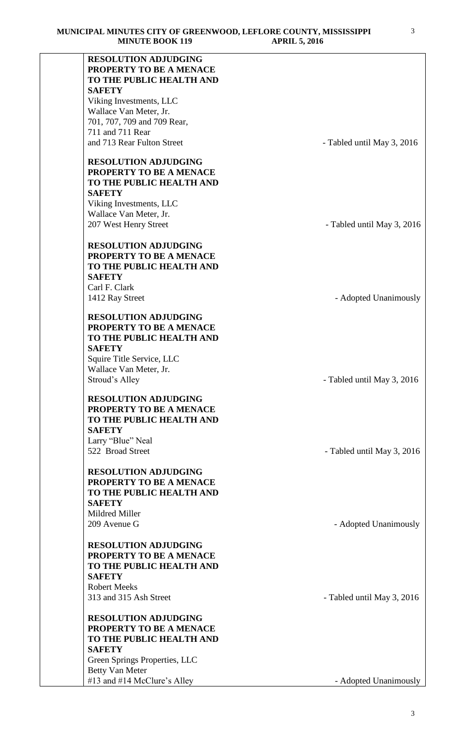| <b>RESOLUTION ADJUDGING</b><br>PROPERTY TO BE A MENACE |                            |
|--------------------------------------------------------|----------------------------|
| TO THE PUBLIC HEALTH AND                               |                            |
| <b>SAFETY</b>                                          |                            |
| Viking Investments, LLC                                |                            |
| Wallace Van Meter, Jr.                                 |                            |
| 701, 707, 709 and 709 Rear,                            |                            |
| 711 and 711 Rear                                       |                            |
| and 713 Rear Fulton Street                             | - Tabled until May 3, 2016 |
|                                                        |                            |
| <b>RESOLUTION ADJUDGING</b>                            |                            |
| PROPERTY TO BE A MENACE                                |                            |
| TO THE PUBLIC HEALTH AND                               |                            |
| <b>SAFETY</b>                                          |                            |
| Viking Investments, LLC                                |                            |
| Wallace Van Meter, Jr.                                 |                            |
| 207 West Henry Street                                  | - Tabled until May 3, 2016 |
| <b>RESOLUTION ADJUDGING</b>                            |                            |
| PROPERTY TO BE A MENACE                                |                            |
| TO THE PUBLIC HEALTH AND                               |                            |
| <b>SAFETY</b>                                          |                            |
| Carl F. Clark                                          |                            |
| 1412 Ray Street                                        | - Adopted Unanimously      |
|                                                        |                            |
| <b>RESOLUTION ADJUDGING</b>                            |                            |
| PROPERTY TO BE A MENACE                                |                            |
| TO THE PUBLIC HEALTH AND                               |                            |
| <b>SAFETY</b>                                          |                            |
| Squire Title Service, LLC                              |                            |
| Wallace Van Meter, Jr.                                 |                            |
| Stroud's Alley                                         | - Tabled until May 3, 2016 |
| <b>RESOLUTION ADJUDGING</b>                            |                            |
| PROPERTY TO BE A MENACE                                |                            |
| TO THE PUBLIC HEALTH AND                               |                            |
| <b>SAFETY</b>                                          |                            |
| Larry "Blue" Neal                                      |                            |
| 522 Broad Street                                       | - Tabled until May 3, 2016 |
|                                                        |                            |
| <b>RESOLUTION ADJUDGING</b>                            |                            |
| PROPERTY TO BE A MENACE                                |                            |
| TO THE PUBLIC HEALTH AND<br><b>SAFETY</b>              |                            |
| Mildred Miller                                         |                            |
| 209 Avenue G                                           | - Adopted Unanimously      |
|                                                        |                            |
| <b>RESOLUTION ADJUDGING</b>                            |                            |
| PROPERTY TO BE A MENACE                                |                            |
| TO THE PUBLIC HEALTH AND                               |                            |
| <b>SAFETY</b>                                          |                            |
| <b>Robert Meeks</b>                                    |                            |
| 313 and 315 Ash Street                                 | - Tabled until May 3, 2016 |
|                                                        |                            |
| <b>RESOLUTION ADJUDGING</b>                            |                            |
| PROPERTY TO BE A MENACE<br>TO THE PUBLIC HEALTH AND    |                            |
| <b>SAFETY</b>                                          |                            |
| Green Springs Properties, LLC                          |                            |
| <b>Betty Van Meter</b>                                 |                            |
| #13 and #14 McClure's Alley                            | - Adopted Unanimously      |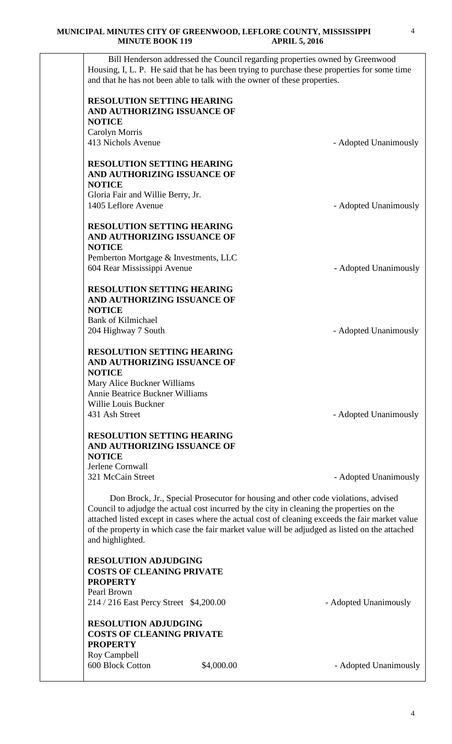Bill Henderson addressed the Council regarding properties owned by Greenwood Housing, I, L. P. He said that he has been trying to purchase these properties for some time and that he has not been able to talk with the owner of these properties. **RESOLUTION SETTING HEARING AND AUTHORIZING ISSUANCE OF NOTICE** Carolyn Morris - Adopted Unanimously **RESOLUTION SETTING HEARING AND AUTHORIZING ISSUANCE OF NOTICE** Gloria Fair and Willie Berry, Jr. 1405 Leflore Avenue - Adopted Unanimously **RESOLUTION SETTING HEARING AND AUTHORIZING ISSUANCE OF NOTICE** Pemberton Mortgage & Investments, LLC 604 Rear Mississippi Avenue **- Adopted Unanimously RESOLUTION SETTING HEARING AND AUTHORIZING ISSUANCE OF NOTICE** Bank of Kilmichael 204 Highway 7 South **- Adopted Unanimously RESOLUTION SETTING HEARING AND AUTHORIZING ISSUANCE OF NOTICE** Mary Alice Buckner Williams Annie Beatrice Buckner Williams Willie Louis Buckner 431 Ash Street - Adopted Unanimously **RESOLUTION SETTING HEARING AND AUTHORIZING ISSUANCE OF NOTICE** Jerlene Cornwall 321 McCain Street - Adopted Unanimously Don Brock, Jr., Special Prosecutor for housing and other code violations, advised Council to adjudge the actual cost incurred by the city in cleaning the properties on the attached listed except in cases where the actual cost of cleaning exceeds the fair market value of the property in which case the fair market value will be adjudged as listed on the attached and highlighted. **RESOLUTION ADJUDGING COSTS OF CLEANING PRIVATE PROPERTY** Pearl Brown 214 / 216 East Percy Street \$4,200.00 - Adopted Unanimously **RESOLUTION ADJUDGING COSTS OF CLEANING PRIVATE PROPERTY** Roy Campbell 600 Block Cotton \$4,000.00 - Adopted Unanimously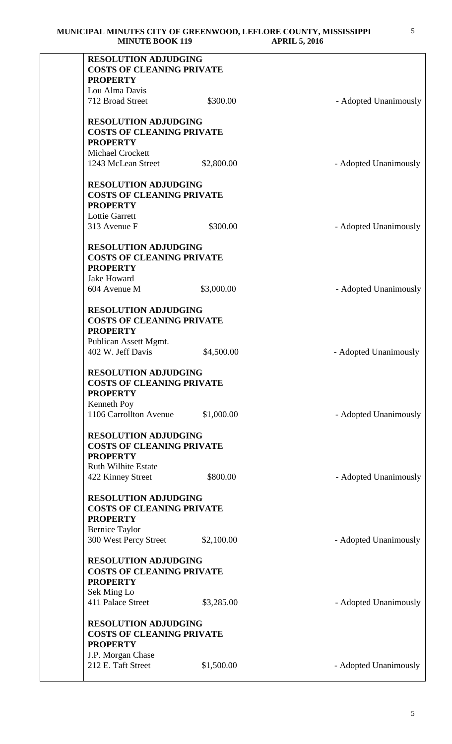| <b>RESOLUTION ADJUDGING</b><br><b>COSTS OF CLEANING PRIVATE</b><br><b>PROPERTY</b>                                          |            |                       |
|-----------------------------------------------------------------------------------------------------------------------------|------------|-----------------------|
|                                                                                                                             |            |                       |
| Lou Alma Davis                                                                                                              |            |                       |
| 712 Broad Street                                                                                                            | \$300.00   | - Adopted Unanimously |
| <b>RESOLUTION ADJUDGING</b><br><b>COSTS OF CLEANING PRIVATE</b><br><b>PROPERTY</b>                                          |            |                       |
| <b>Michael Crockett</b>                                                                                                     |            |                       |
| 1243 McLean Street                                                                                                          | \$2,800.00 | - Adopted Unanimously |
| <b>RESOLUTION ADJUDGING</b><br><b>COSTS OF CLEANING PRIVATE</b><br><b>PROPERTY</b><br><b>Lottie Garrett</b>                 |            |                       |
| 313 Avenue F                                                                                                                | \$300.00   | - Adopted Unanimously |
| <b>RESOLUTION ADJUDGING</b><br><b>COSTS OF CLEANING PRIVATE</b><br><b>PROPERTY</b>                                          |            |                       |
| <b>Jake Howard</b><br>604 Avenue M                                                                                          | \$3,000.00 |                       |
|                                                                                                                             |            | - Adopted Unanimously |
| <b>RESOLUTION ADJUDGING</b><br><b>COSTS OF CLEANING PRIVATE</b><br><b>PROPERTY</b><br>Publican Assett Mgmt.                 |            |                       |
| 402 W. Jeff Davis                                                                                                           | \$4,500.00 | - Adopted Unanimously |
| <b>RESOLUTION ADJUDGING</b><br><b>COSTS OF CLEANING PRIVATE</b><br><b>PROPERTY</b><br>Kenneth Poy<br>1106 Carrollton Avenue | \$1,000.00 | - Adopted Unanimously |
| <b>RESOLUTION ADJUDGING</b><br><b>COSTS OF CLEANING PRIVATE</b><br><b>PROPERTY</b><br><b>Ruth Wilhite Estate</b>            |            |                       |
| 422 Kinney Street                                                                                                           | \$800.00   | - Adopted Unanimously |
| <b>RESOLUTION ADJUDGING</b><br><b>COSTS OF CLEANING PRIVATE</b><br><b>PROPERTY</b><br><b>Bernice Taylor</b>                 |            |                       |
| 300 West Percy Street                                                                                                       | \$2,100.00 | - Adopted Unanimously |
| <b>RESOLUTION ADJUDGING</b><br><b>COSTS OF CLEANING PRIVATE</b><br><b>PROPERTY</b><br>Sek Ming Lo                           |            |                       |
| 411 Palace Street                                                                                                           | \$3,285.00 | - Adopted Unanimously |
| <b>RESOLUTION ADJUDGING</b><br><b>COSTS OF CLEANING PRIVATE</b><br><b>PROPERTY</b>                                          |            |                       |
| J.P. Morgan Chase                                                                                                           |            |                       |
| 212 E. Taft Street                                                                                                          | \$1,500.00 | - Adopted Unanimously |
|                                                                                                                             |            |                       |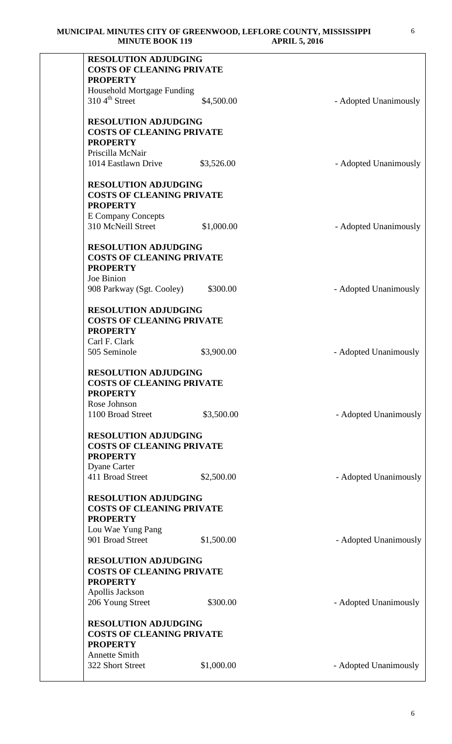| <b>RESOLUTION ADJUDGING</b><br><b>COSTS OF CLEANING PRIVATE</b><br><b>PROPERTY</b>                        |            |                       |
|-----------------------------------------------------------------------------------------------------------|------------|-----------------------|
| Household Mortgage Funding                                                                                |            |                       |
| $3104^{\text{th}}$ Street                                                                                 | \$4,500.00 | - Adopted Unanimously |
| <b>RESOLUTION ADJUDGING</b><br><b>COSTS OF CLEANING PRIVATE</b>                                           |            |                       |
| <b>PROPERTY</b><br>Priscilla McNair                                                                       |            |                       |
| 1014 Eastlawn Drive                                                                                       | \$3,526.00 | - Adopted Unanimously |
| <b>RESOLUTION ADJUDGING</b>                                                                               |            |                       |
| <b>COSTS OF CLEANING PRIVATE</b><br><b>PROPERTY</b>                                                       |            |                       |
| <b>E</b> Company Concepts<br>310 McNeill Street                                                           | \$1,000.00 | - Adopted Unanimously |
| <b>RESOLUTION ADJUDGING</b>                                                                               |            |                       |
| <b>COSTS OF CLEANING PRIVATE</b>                                                                          |            |                       |
| <b>PROPERTY</b>                                                                                           |            |                       |
| Joe Binion                                                                                                |            |                       |
| 908 Parkway (Sgt. Cooley)                                                                                 | \$300.00   | - Adopted Unanimously |
| <b>RESOLUTION ADJUDGING</b>                                                                               |            |                       |
| <b>COSTS OF CLEANING PRIVATE</b>                                                                          |            |                       |
| <b>PROPERTY</b>                                                                                           |            |                       |
| Carl F. Clark                                                                                             |            |                       |
| 505 Seminole                                                                                              | \$3,900.00 | - Adopted Unanimously |
| <b>RESOLUTION ADJUDGING</b><br><b>COSTS OF CLEANING PRIVATE</b><br><b>PROPERTY</b>                        |            |                       |
| Rose Johnson                                                                                              |            |                       |
| 1100 Broad Street                                                                                         | \$3,500.00 | - Adopted Unanimously |
| <b>RESOLUTION ADJUDGING</b><br><b>COSTS OF CLEANING PRIVATE</b><br><b>PROPERTY</b><br><b>Dyane Carter</b> |            |                       |
| 411 Broad Street                                                                                          | \$2,500.00 | - Adopted Unanimously |
| <b>RESOLUTION ADJUDGING</b>                                                                               |            |                       |
| <b>COSTS OF CLEANING PRIVATE</b><br><b>PROPERTY</b>                                                       |            |                       |
| Lou Wae Yung Pang                                                                                         |            |                       |
| 901 Broad Street                                                                                          | \$1,500.00 | - Adopted Unanimously |
| <b>RESOLUTION ADJUDGING</b>                                                                               |            |                       |
| <b>COSTS OF CLEANING PRIVATE</b><br><b>PROPERTY</b>                                                       |            |                       |
| Apollis Jackson                                                                                           |            |                       |
| 206 Young Street                                                                                          | \$300.00   | - Adopted Unanimously |
| <b>RESOLUTION ADJUDGING</b>                                                                               |            |                       |
| <b>COSTS OF CLEANING PRIVATE</b><br><b>PROPERTY</b>                                                       |            |                       |
| <b>Annette Smith</b>                                                                                      |            |                       |
| 322 Short Street                                                                                          | \$1,000.00 | - Adopted Unanimously |
|                                                                                                           |            |                       |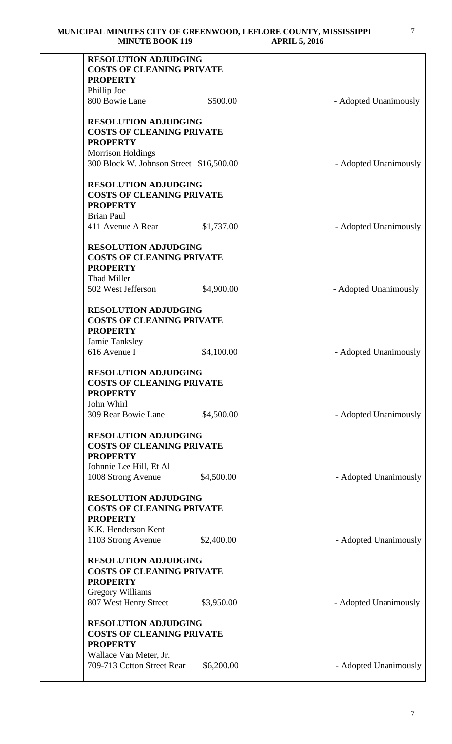| <b>RESOLUTION ADJUDGING</b><br><b>COSTS OF CLEANING PRIVATE</b><br><b>PROPERTY</b>                            |            |                       |
|---------------------------------------------------------------------------------------------------------------|------------|-----------------------|
| Phillip Joe                                                                                                   |            |                       |
|                                                                                                               |            |                       |
| 800 Bowie Lane                                                                                                | \$500.00   | - Adopted Unanimously |
| <b>RESOLUTION ADJUDGING</b><br><b>COSTS OF CLEANING PRIVATE</b><br><b>PROPERTY</b>                            |            |                       |
| <b>Morrison Holdings</b><br>300 Block W. Johnson Street \$16,500.00                                           |            | - Adopted Unanimously |
| <b>RESOLUTION ADJUDGING</b><br><b>COSTS OF CLEANING PRIVATE</b><br><b>PROPERTY</b>                            |            |                       |
| <b>Brian Paul</b><br>411 Avenue A Rear                                                                        | \$1,737.00 | - Adopted Unanimously |
| <b>RESOLUTION ADJUDGING</b><br><b>COSTS OF CLEANING PRIVATE</b><br><b>PROPERTY</b><br>Thad Miller             |            |                       |
| 502 West Jefferson                                                                                            | \$4,900.00 | - Adopted Unanimously |
| <b>RESOLUTION ADJUDGING</b><br><b>COSTS OF CLEANING PRIVATE</b><br><b>PROPERTY</b><br>Jamie Tanksley          |            |                       |
| 616 Avenue I                                                                                                  | \$4,100.00 | - Adopted Unanimously |
| <b>RESOLUTION ADJUDGING</b><br><b>COSTS OF CLEANING PRIVATE</b><br><b>PROPERTY</b><br>John Whirl              |            |                       |
| 309 Rear Bowie Lane                                                                                           | \$4,500.00 | - Adopted Unanimously |
| <b>RESOLUTION ADJUDGING</b><br><b>COSTS OF CLEANING PRIVATE</b><br><b>PROPERTY</b><br>Johnnie Lee Hill, Et Al |            |                       |
| 1008 Strong Avenue                                                                                            | \$4,500.00 | - Adopted Unanimously |
| <b>RESOLUTION ADJUDGING</b><br><b>COSTS OF CLEANING PRIVATE</b><br><b>PROPERTY</b><br>K.K. Henderson Kent     |            |                       |
| 1103 Strong Avenue                                                                                            | \$2,400.00 | - Adopted Unanimously |
| <b>RESOLUTION ADJUDGING</b><br><b>COSTS OF CLEANING PRIVATE</b><br><b>PROPERTY</b>                            |            |                       |
| <b>Gregory Williams</b><br>807 West Henry Street                                                              | \$3,950.00 | - Adopted Unanimously |
| <b>RESOLUTION ADJUDGING</b><br><b>COSTS OF CLEANING PRIVATE</b><br><b>PROPERTY</b>                            |            |                       |
| Wallace Van Meter, Jr.<br>709-713 Cotton Street Rear                                                          | \$6,200.00 | - Adopted Unanimously |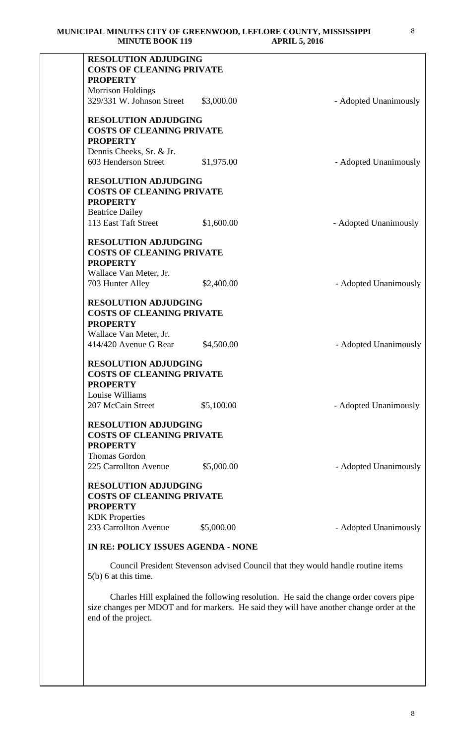| <b>RESOLUTION ADJUDGING</b><br><b>COSTS OF CLEANING PRIVATE</b> |            |                                                                                  |
|-----------------------------------------------------------------|------------|----------------------------------------------------------------------------------|
| <b>PROPERTY</b>                                                 |            |                                                                                  |
| <b>Morrison Holdings</b>                                        |            |                                                                                  |
| 329/331 W. Johnson Street                                       | \$3,000.00 | - Adopted Unanimously                                                            |
| <b>RESOLUTION ADJUDGING</b>                                     |            |                                                                                  |
| <b>COSTS OF CLEANING PRIVATE</b>                                |            |                                                                                  |
| <b>PROPERTY</b>                                                 |            |                                                                                  |
| Dennis Cheeks, Sr. & Jr.                                        |            |                                                                                  |
| 603 Henderson Street                                            | \$1,975.00 | - Adopted Unanimously                                                            |
| <b>RESOLUTION ADJUDGING</b>                                     |            |                                                                                  |
| <b>COSTS OF CLEANING PRIVATE</b>                                |            |                                                                                  |
| <b>PROPERTY</b>                                                 |            |                                                                                  |
| <b>Beatrice Dailey</b>                                          |            |                                                                                  |
| 113 East Taft Street                                            | \$1,600.00 | - Adopted Unanimously                                                            |
| <b>RESOLUTION ADJUDGING</b>                                     |            |                                                                                  |
| <b>COSTS OF CLEANING PRIVATE</b>                                |            |                                                                                  |
| <b>PROPERTY</b>                                                 |            |                                                                                  |
| Wallace Van Meter, Jr.                                          |            |                                                                                  |
| 703 Hunter Alley                                                | \$2,400.00 | - Adopted Unanimously                                                            |
| <b>RESOLUTION ADJUDGING</b>                                     |            |                                                                                  |
| <b>COSTS OF CLEANING PRIVATE</b>                                |            |                                                                                  |
| <b>PROPERTY</b>                                                 |            |                                                                                  |
| Wallace Van Meter, Jr.                                          |            |                                                                                  |
| 414/420 Avenue G Rear                                           | \$4,500.00 | - Adopted Unanimously                                                            |
| <b>RESOLUTION ADJUDGING</b><br><b>COSTS OF CLEANING PRIVATE</b> |            |                                                                                  |
| <b>PROPERTY</b>                                                 |            |                                                                                  |
| Louise Williams                                                 |            |                                                                                  |
| 207 McCain Street                                               | \$5,100.00 | - Adopted Unanimously                                                            |
|                                                                 |            |                                                                                  |
| <b>RESOLUTION ADJUDGING</b>                                     |            |                                                                                  |
| <b>COSTS OF CLEANING PRIVATE</b><br><b>PROPERTY</b>             |            |                                                                                  |
|                                                                 |            |                                                                                  |
| Thomas Gordon<br>225 Carrollton Avenue                          | \$5,000.00 | - Adopted Unanimously                                                            |
|                                                                 |            |                                                                                  |
| <b>RESOLUTION ADJUDGING</b><br><b>COSTS OF CLEANING PRIVATE</b> |            |                                                                                  |
|                                                                 |            |                                                                                  |
| <b>PROPERTY</b>                                                 |            |                                                                                  |
| <b>KDK</b> Properties<br>233 Carrollton Avenue                  |            |                                                                                  |
|                                                                 | \$5,000.00 | - Adopted Unanimously                                                            |
| IN RE: POLICY ISSUES AGENDA - NONE                              |            |                                                                                  |
|                                                                 |            | Council President Stevenson advised Council that they would handle routine items |
| $5(b)$ 6 at this time.                                          |            |                                                                                  |

 Charles Hill explained the following resolution. He said the change order covers pipe size changes per MDOT and for markers. He said they will have another change order at the end of the project.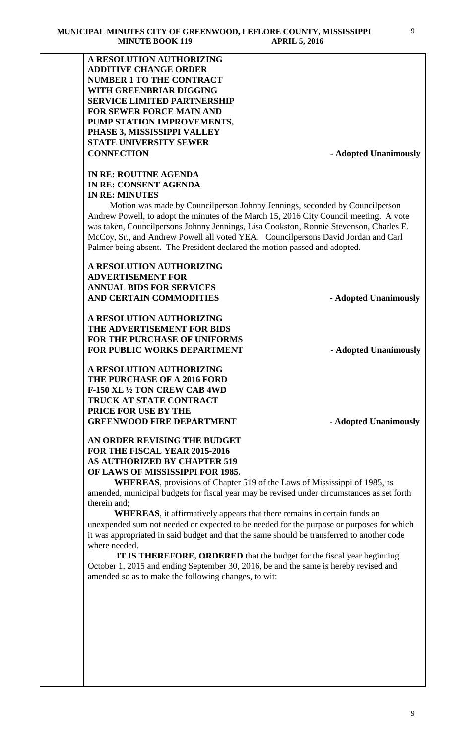**A RESOLUTION AUTHORIZING ADDITIVE CHANGE ORDER NUMBER 1 TO THE CONTRACT WITH GREENBRIAR DIGGING SERVICE LIMITED PARTNERSHIP FOR SEWER FORCE MAIN AND PUMP STATION IMPROVEMENTS, PHASE 3, MISSISSIPPI VALLEY STATE UNIVERSITY SEWER CONNECTION - Adopted Unanimously**

# **IN RE: ROUTINE AGENDA IN RE: CONSENT AGENDA IN RE: MINUTES**

 Motion was made by Councilperson Johnny Jennings, seconded by Councilperson Andrew Powell, to adopt the minutes of the March 15, 2016 City Council meeting. A vote was taken, Councilpersons Johnny Jennings, Lisa Cookston, Ronnie Stevenson, Charles E. McCoy, Sr., and Andrew Powell all voted YEA. Councilpersons David Jordan and Carl Palmer being absent. The President declared the motion passed and adopted.

## **A RESOLUTION AUTHORIZING ADVERTISEMENT FOR ANNUAL BIDS FOR SERVICES**  AND CERTAIN COMMODITIES **Adopted Unanimously**

**A RESOLUTION AUTHORIZING THE ADVERTISEMENT FOR BIDS FOR THE PURCHASE OF UNIFORMS FOR PUBLIC WORKS DEPARTMENT - Adopted Unanimously**

**A RESOLUTION AUTHORIZING THE PURCHASE OF A 2016 FORD F-150 XL ½ TON CREW CAB 4WD TRUCK AT STATE CONTRACT PRICE FOR USE BY THE**  GREENWOOD FIRE DEPARTMENT **-** Adopted Unanimously

### **AN ORDER REVISING THE BUDGET FOR THE FISCAL YEAR 2015-2016 AS AUTHORIZED BY CHAPTER 519 OF LAWS OF MISSISSIPPI FOR 1985.**

**WHEREAS**, provisions of Chapter 519 of the Laws of Mississippi of 1985, as amended, municipal budgets for fiscal year may be revised under circumstances as set forth therein and;

**WHEREAS**, it affirmatively appears that there remains in certain funds an unexpended sum not needed or expected to be needed for the purpose or purposes for which it was appropriated in said budget and that the same should be transferred to another code where needed.

 **IT IS THEREFORE, ORDERED** that the budget for the fiscal year beginning October 1, 2015 and ending September 30, 2016, be and the same is hereby revised and amended so as to make the following changes, to wit: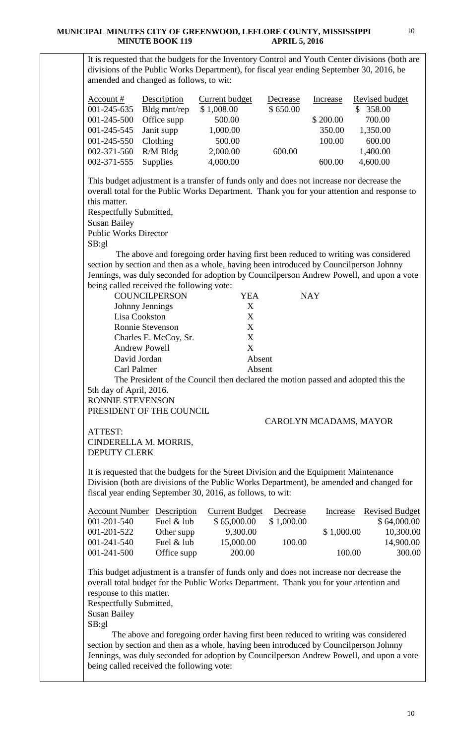It is requested that the budgets for the Inventory Control and Youth Center divisions (both are divisions of the Public Works Department), for fiscal year ending September 30, 2016, be amended and changed as follows, to wit:

| Account $#$             | Description              | <b>Current budget</b> | Decrease | Increase | <b>Revised budget</b> |
|-------------------------|--------------------------|-----------------------|----------|----------|-----------------------|
|                         | 001-245-635 Bldg mnt/rep | \$1,008.00            | \$650.00 |          | 358.00                |
| 001-245-500 Office supp |                          | 500.00                |          | \$200.00 | 700.00                |
| 001-245-545 Janit supp  |                          | 1,000.00              |          | 350.00   | 1,350.00              |
| 001-245-550 Clothing    |                          | 500.00                |          | 100.00   | 600.00                |
| 002-371-560 R/M Bldg    |                          | 2,000.00              | 600.00   |          | 1,400.00              |
| 002-371-555 Supplies    |                          | 4,000.00              |          | 600.00   | 4,600.00              |

This budget adjustment is a transfer of funds only and does not increase nor decrease the overall total for the Public Works Department. Thank you for your attention and response to this matter.

Respectfully Submitted,

Susan Bailey

Public Works Director

SB:gl

 The above and foregoing order having first been reduced to writing was considered section by section and then as a whole, having been introduced by Councilperson Johnny Jennings, was duly seconded for adoption by Councilperson Andrew Powell, and upon a vote being called received the following vote:

| <b>COUNCILPERSON</b>    | YEA    | <b>NAY</b> |
|-------------------------|--------|------------|
| Johnny Jennings         | X      |            |
| Lisa Cookston           | X      |            |
| <b>Ronnie Stevenson</b> | X      |            |
| Charles E. McCoy, Sr.   | X      |            |
| <b>Andrew Powell</b>    | X      |            |
| David Jordan            | Absent |            |
| Carl Palmer             | Absent |            |

The President of the Council then declared the motion passed and adopted this the 5th day of April, 2016.

RONNIE STEVENSON PRESIDENT OF THE COUNCIL

## CAROLYN MCADAMS, MAYOR

ATTEST: CINDERELLA M. MORRIS, DEPUTY CLERK

It is requested that the budgets for the Street Division and the Equipment Maintenance Division (both are divisions of the Public Works Department), be amended and changed for fiscal year ending September 30, 2016, as follows, to wit:

| <b>Account Number Description</b> |             | <b>Current Budget</b> | Decrease   | Increase   | <b>Revised Budget</b> |
|-----------------------------------|-------------|-----------------------|------------|------------|-----------------------|
| $001 - 201 - 540$                 | Fuel & lub  | \$65,000.00           | \$1,000.00 |            | \$64,000.00           |
| 001-201-522                       | Other supp  | 9,300.00              |            | \$1,000.00 | 10,300.00             |
| $001 - 241 - 540$                 | Fuel & lub  | 15,000.00             | 100.00     |            | 14,900.00             |
| 001-241-500                       | Office supp | 200.00                |            | 100.00     | 300.00                |

This budget adjustment is a transfer of funds only and does not increase nor decrease the overall total budget for the Public Works Department. Thank you for your attention and response to this matter.

Respectfully Submitted, Susan Bailey

SB:gl

 The above and foregoing order having first been reduced to writing was considered section by section and then as a whole, having been introduced by Councilperson Johnny Jennings, was duly seconded for adoption by Councilperson Andrew Powell, and upon a vote being called received the following vote: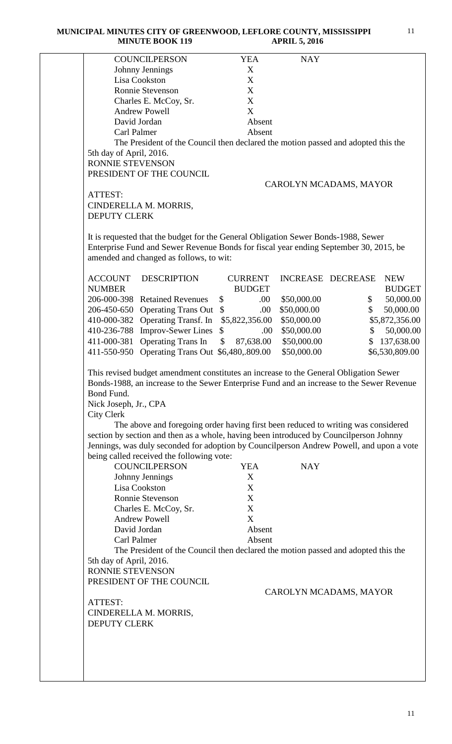**MUNICIPAL MINUTES CITY OF GREENWOOD, LEFLORE COUNTY, MISSISSIPPI MINUTE BOOK 119 APRIL 5, 2016**

| <b>COUNCILPERSON</b>                                                                                                                                                                                                                                                                                                                                                                                                                                                                                                                                                                                                                                                                 | <b>YEA</b>                                              | <b>NAY</b>               |                              |
|--------------------------------------------------------------------------------------------------------------------------------------------------------------------------------------------------------------------------------------------------------------------------------------------------------------------------------------------------------------------------------------------------------------------------------------------------------------------------------------------------------------------------------------------------------------------------------------------------------------------------------------------------------------------------------------|---------------------------------------------------------|--------------------------|------------------------------|
| Johnny Jennings                                                                                                                                                                                                                                                                                                                                                                                                                                                                                                                                                                                                                                                                      | X                                                       |                          |                              |
| Lisa Cookston                                                                                                                                                                                                                                                                                                                                                                                                                                                                                                                                                                                                                                                                        | X                                                       |                          |                              |
| Ronnie Stevenson                                                                                                                                                                                                                                                                                                                                                                                                                                                                                                                                                                                                                                                                     | $\mathbf X$                                             |                          |                              |
| Charles E. McCoy, Sr.                                                                                                                                                                                                                                                                                                                                                                                                                                                                                                                                                                                                                                                                | X                                                       |                          |                              |
| <b>Andrew Powell</b>                                                                                                                                                                                                                                                                                                                                                                                                                                                                                                                                                                                                                                                                 | X                                                       |                          |                              |
| David Jordan                                                                                                                                                                                                                                                                                                                                                                                                                                                                                                                                                                                                                                                                         | Absent                                                  |                          |                              |
| Carl Palmer                                                                                                                                                                                                                                                                                                                                                                                                                                                                                                                                                                                                                                                                          | Absent                                                  |                          |                              |
| The President of the Council then declared the motion passed and adopted this the                                                                                                                                                                                                                                                                                                                                                                                                                                                                                                                                                                                                    |                                                         |                          |                              |
| 5th day of April, 2016.                                                                                                                                                                                                                                                                                                                                                                                                                                                                                                                                                                                                                                                              |                                                         |                          |                              |
| RONNIE STEVENSON                                                                                                                                                                                                                                                                                                                                                                                                                                                                                                                                                                                                                                                                     |                                                         |                          |                              |
| PRESIDENT OF THE COUNCIL                                                                                                                                                                                                                                                                                                                                                                                                                                                                                                                                                                                                                                                             |                                                         |                          |                              |
|                                                                                                                                                                                                                                                                                                                                                                                                                                                                                                                                                                                                                                                                                      |                                                         | CAROLYN MCADAMS, MAYOR   |                              |
| ATTEST:                                                                                                                                                                                                                                                                                                                                                                                                                                                                                                                                                                                                                                                                              |                                                         |                          |                              |
| CINDERELLA M. MORRIS,                                                                                                                                                                                                                                                                                                                                                                                                                                                                                                                                                                                                                                                                |                                                         |                          |                              |
| <b>DEPUTY CLERK</b>                                                                                                                                                                                                                                                                                                                                                                                                                                                                                                                                                                                                                                                                  |                                                         |                          |                              |
|                                                                                                                                                                                                                                                                                                                                                                                                                                                                                                                                                                                                                                                                                      |                                                         |                          |                              |
|                                                                                                                                                                                                                                                                                                                                                                                                                                                                                                                                                                                                                                                                                      |                                                         |                          |                              |
| It is requested that the budget for the General Obligation Sewer Bonds-1988, Sewer                                                                                                                                                                                                                                                                                                                                                                                                                                                                                                                                                                                                   |                                                         |                          |                              |
| Enterprise Fund and Sewer Revenue Bonds for fiscal year ending September 30, 2015, be                                                                                                                                                                                                                                                                                                                                                                                                                                                                                                                                                                                                |                                                         |                          |                              |
| amended and changed as follows, to wit:                                                                                                                                                                                                                                                                                                                                                                                                                                                                                                                                                                                                                                              |                                                         |                          |                              |
|                                                                                                                                                                                                                                                                                                                                                                                                                                                                                                                                                                                                                                                                                      |                                                         |                          |                              |
| <b>ACCOUNT</b><br><b>DESCRIPTION</b>                                                                                                                                                                                                                                                                                                                                                                                                                                                                                                                                                                                                                                                 | <b>CURRENT</b>                                          | <b>INCREASE DECREASE</b> | <b>NEW</b>                   |
| <b>NUMBER</b>                                                                                                                                                                                                                                                                                                                                                                                                                                                                                                                                                                                                                                                                        | <b>BUDGET</b>                                           |                          | <b>BUDGET</b>                |
| 206-000-398 Retained Revenues                                                                                                                                                                                                                                                                                                                                                                                                                                                                                                                                                                                                                                                        | \$<br>.00.                                              | \$50,000.00              | 50,000.00<br>\$              |
| 206-450-650 Operating Trans Out                                                                                                                                                                                                                                                                                                                                                                                                                                                                                                                                                                                                                                                      | $\mathbb{S}$<br>.00                                     | \$50,000.00              | 50,000.00<br>\$              |
| 410-000-382 Operating Transf. In                                                                                                                                                                                                                                                                                                                                                                                                                                                                                                                                                                                                                                                     | \$5,822,356.00                                          | \$50,000.00              | \$5,872,356.00               |
| 410-236-788 Improv-Sewer Lines                                                                                                                                                                                                                                                                                                                                                                                                                                                                                                                                                                                                                                                       | $\mathbb{S}$<br>.00.                                    | \$50,000.00              | 50,000.00<br>\$              |
| 411-000-381 Operating Trans In                                                                                                                                                                                                                                                                                                                                                                                                                                                                                                                                                                                                                                                       | \$<br>87,638.00                                         | \$50,000.00              | 137,638.00<br>$\mathbb{S}^-$ |
| 411-550-950 Operating Trans Out \$6,480,.809.00                                                                                                                                                                                                                                                                                                                                                                                                                                                                                                                                                                                                                                      |                                                         | \$50,000.00              | \$6,530,809.00               |
| Bond Fund.<br>Nick Joseph, Jr., CPA<br><b>City Clerk</b><br>The above and foregoing order having first been reduced to writing was considered<br>section by section and then as a whole, having been introduced by Councilperson Johnny<br>Jennings, was duly seconded for adoption by Councilperson Andrew Powell, and upon a vote<br>being called received the following vote:<br><b>COUNCILPERSON</b><br>Johnny Jennings<br>Lisa Cookston<br>Ronnie Stevenson<br>Charles E. McCoy, Sr.<br><b>Andrew Powell</b><br>David Jordan<br>Carl Palmer<br>The President of the Council then declared the motion passed and adopted this the<br>5th day of April, 2016.<br>RONNIE STEVENSON | <b>YEA</b><br>X<br>X<br>X<br>X<br>X<br>Absent<br>Absent | <b>NAY</b>               |                              |
| PRESIDENT OF THE COUNCIL                                                                                                                                                                                                                                                                                                                                                                                                                                                                                                                                                                                                                                                             |                                                         |                          |                              |
|                                                                                                                                                                                                                                                                                                                                                                                                                                                                                                                                                                                                                                                                                      |                                                         | CAROLYN MCADAMS, MAYOR   |                              |
| ATTEST:                                                                                                                                                                                                                                                                                                                                                                                                                                                                                                                                                                                                                                                                              |                                                         |                          |                              |
|                                                                                                                                                                                                                                                                                                                                                                                                                                                                                                                                                                                                                                                                                      |                                                         |                          |                              |
| CINDERELLA M. MORRIS,                                                                                                                                                                                                                                                                                                                                                                                                                                                                                                                                                                                                                                                                |                                                         |                          |                              |
| <b>DEPUTY CLERK</b>                                                                                                                                                                                                                                                                                                                                                                                                                                                                                                                                                                                                                                                                  |                                                         |                          |                              |
|                                                                                                                                                                                                                                                                                                                                                                                                                                                                                                                                                                                                                                                                                      |                                                         |                          |                              |
|                                                                                                                                                                                                                                                                                                                                                                                                                                                                                                                                                                                                                                                                                      |                                                         |                          |                              |
|                                                                                                                                                                                                                                                                                                                                                                                                                                                                                                                                                                                                                                                                                      |                                                         |                          |                              |
|                                                                                                                                                                                                                                                                                                                                                                                                                                                                                                                                                                                                                                                                                      |                                                         |                          |                              |
|                                                                                                                                                                                                                                                                                                                                                                                                                                                                                                                                                                                                                                                                                      |                                                         |                          |                              |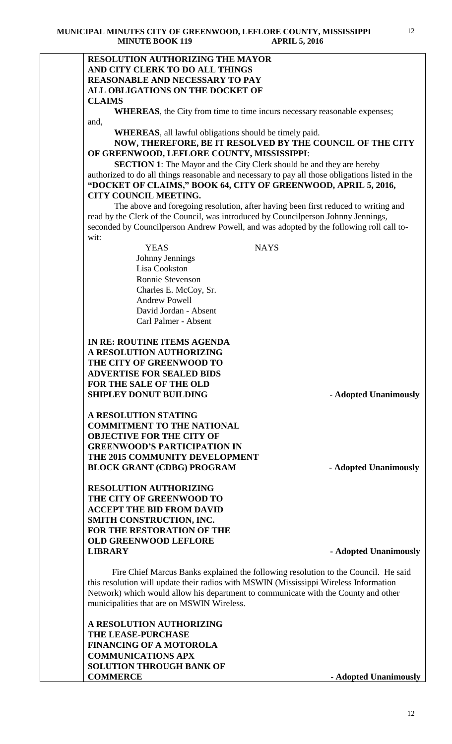#### **RESOLUTION AUTHORIZING THE MAYOR AND CITY CLERK TO DO ALL THINGS REASONABLE AND NECESSARY TO PAY ALL OBLIGATIONS ON THE DOCKET OF CLAIMS**

**WHEREAS**, the City from time to time incurs necessary reasonable expenses; and,

**WHEREAS**, all lawful obligations should be timely paid.

### **NOW, THEREFORE, BE IT RESOLVED BY THE COUNCIL OF THE CITY OF GREENWOOD, LEFLORE COUNTY, MISSISSIPPI**:

**SECTION 1**: The Mayor and the City Clerk should be and they are hereby authorized to do all things reasonable and necessary to pay all those obligations listed in the **"DOCKET OF CLAIMS," BOOK 64, CITY OF GREENWOOD, APRIL 5, 2016, CITY COUNCIL MEETING.**

The above and foregoing resolution, after having been first reduced to writing and read by the Clerk of the Council, was introduced by Councilperson Johnny Jennings, seconded by Councilperson Andrew Powell, and was adopted by the following roll call towit:

> YEAS NAYS Johnny Jennings Lisa Cookston Ronnie Stevenson Charles E. McCoy, Sr. Andrew Powell David Jordan - Absent Carl Palmer - Absent

### **IN RE: ROUTINE ITEMS AGENDA A RESOLUTION AUTHORIZING THE CITY OF GREENWOOD TO ADVERTISE FOR SEALED BIDS FOR THE SALE OF THE OLD SHIPLEY DONUT BUILDING - Adopted Unanimously**

**A RESOLUTION STATING COMMITMENT TO THE NATIONAL OBJECTIVE FOR THE CITY OF GREENWOOD'S PARTICIPATION IN THE 2015 COMMUNITY DEVELOPMENT BLOCK GRANT (CDBG) PROGRAM** - **Adopted Unanimously** 

**RESOLUTION AUTHORIZING THE CITY OF GREENWOOD TO ACCEPT THE BID FROM DAVID SMITH CONSTRUCTION, INC. FOR THE RESTORATION OF THE OLD GREENWOOD LEFLORE LIBRARY - Adopted Unanimously**

 Fire Chief Marcus Banks explained the following resolution to the Council. He said this resolution will update their radios with MSWIN (Mississippi Wireless Information Network) which would allow his department to communicate with the County and other municipalities that are on MSWIN Wireless.

**A RESOLUTION AUTHORIZING THE LEASE-PURCHASE FINANCING OF A MOTOROLA COMMUNICATIONS APX SOLUTION THROUGH BANK OF COMMERCE - Adopted Unanimously**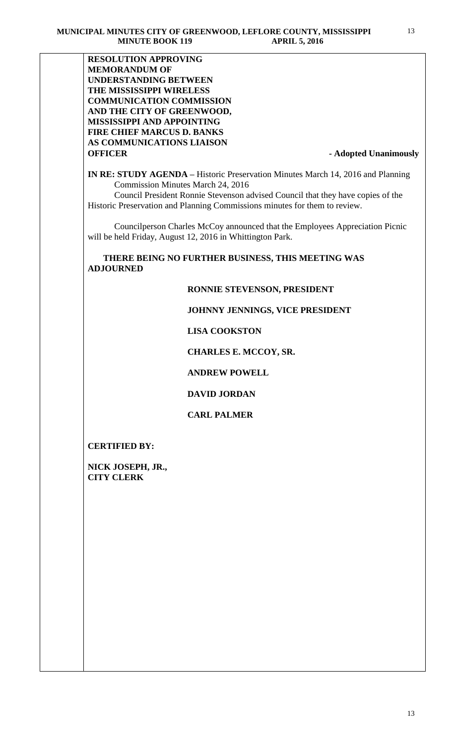**RESOLUTION APPROVING MEMORANDUM OF UNDERSTANDING BETWEEN THE MISSISSIPPI WIRELESS COMMUNICATION COMMISSION AND THE CITY OF GREENWOOD, MISSISSIPPI AND APPOINTING FIRE CHIEF MARCUS D. BANKS AS COMMUNICATIONS LIAISON OFFICER** - **Adopted Unanimously** 

**IN RE: STUDY AGENDA –** Historic Preservation Minutes March 14, 2016 and Planning Commission Minutes March 24, 2016

 Council President Ronnie Stevenson advised Council that they have copies of the Historic Preservation and Planning Commissions minutes for them to review.

 Councilperson Charles McCoy announced that the Employees Appreciation Picnic will be held Friday, August 12, 2016 in Whittington Park.

 **THERE BEING NO FURTHER BUSINESS, THIS MEETING WAS ADJOURNED** 

#### **RONNIE STEVENSON, PRESIDENT**

#### **JOHNNY JENNINGS, VICE PRESIDENT**

#### **LISA COOKSTON**

#### **CHARLES E. MCCOY, SR.**

 **ANDREW POWELL**

#### **DAVID JORDAN**

### **CARL PALMER**

#### **CERTIFIED BY:**

**NICK JOSEPH, JR., CITY CLERK**